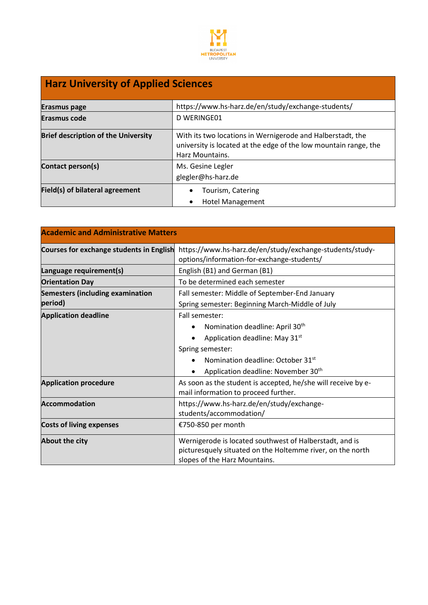

| <b>Harz University of Applied Sciences</b> |                                                                                                                                                   |
|--------------------------------------------|---------------------------------------------------------------------------------------------------------------------------------------------------|
| Erasmus page                               | https://www.hs-harz.de/en/study/exchange-students/                                                                                                |
| Erasmus code                               | D WERINGE01                                                                                                                                       |
| <b>Brief description of the University</b> | With its two locations in Wernigerode and Halberstadt, the<br>university is located at the edge of the low mountain range, the<br>Harz Mountains. |
| Contact person(s)                          | Ms. Gesine Legler<br>glegler@hs-harz.de                                                                                                           |
| Field(s) of bilateral agreement            | Tourism, Catering<br><b>Hotel Management</b>                                                                                                      |

| <b>Academic and Administrative Matters</b>         |                                                                                                                                                                                                                                      |
|----------------------------------------------------|--------------------------------------------------------------------------------------------------------------------------------------------------------------------------------------------------------------------------------------|
| Courses for exchange students in English           | https://www.hs-harz.de/en/study/exchange-students/study-<br>options/information-for-exchange-students/                                                                                                                               |
| Language requirement(s)                            | English (B1) and German (B1)                                                                                                                                                                                                         |
| <b>Orientation Day</b>                             | To be determined each semester                                                                                                                                                                                                       |
| <b>Semesters (including examination</b><br>period) | Fall semester: Middle of September-End January<br>Spring semester: Beginning March-Middle of July                                                                                                                                    |
| <b>Application deadline</b>                        | Fall semester:<br>Nomination deadline: April 30 <sup>th</sup><br>$\bullet$<br>Application deadline: May 31 <sup>st</sup><br>Spring semester:<br>Nomination deadline: October 31st<br>Application deadline: November 30 <sup>th</sup> |
| <b>Application procedure</b>                       | As soon as the student is accepted, he/she will receive by e-<br>mail information to proceed further.                                                                                                                                |
| <b>Accommodation</b>                               | https://www.hs-harz.de/en/study/exchange-<br>students/accommodation/                                                                                                                                                                 |
| <b>Costs of living expenses</b>                    | €750-850 per month                                                                                                                                                                                                                   |
| About the city                                     | Wernigerode is located southwest of Halberstadt, and is<br>picturesquely situated on the Holtemme river, on the north<br>slopes of the Harz Mountains.                                                                               |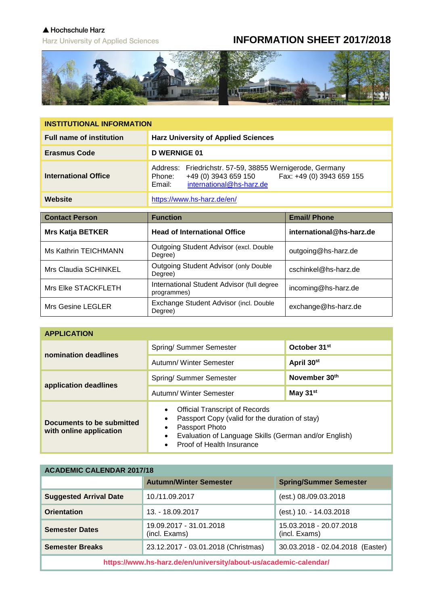## A Hochschule Harz

Harz University of Applied Sciences

## **INFORMATION SHEET 2017/2018**



| <b>INSTITUTIONAL INFORMATION</b> |                                                                                                                                                               |                          |
|----------------------------------|---------------------------------------------------------------------------------------------------------------------------------------------------------------|--------------------------|
| <b>Full name of institution</b>  | <b>Harz University of Applied Sciences</b>                                                                                                                    |                          |
| <b>Erasmus Code</b>              | <b>D WERNIGE 01</b>                                                                                                                                           |                          |
| <b>International Office</b>      | Address: Friedrichstr. 57-59, 38855 Wernigerode, Germany<br>Fax: +49 (0) 3943 659 155<br>+49 (0) 3943 659 150<br>Phone:<br>international@hs-harz.de<br>Email: |                          |
| Website                          | https://www.hs-harz.de/en/                                                                                                                                    |                          |
| <b>Contact Person</b>            | <b>Function</b>                                                                                                                                               | <b>Email/Phone</b>       |
| <b>Mrs Katja BETKER</b>          | <b>Head of International Office</b>                                                                                                                           | international@hs-harz.de |
|                                  |                                                                                                                                                               |                          |
| Ms Kathrin TEICHMANN             | <b>Outgoing Student Advisor (excl. Double</b><br>Degree)                                                                                                      | outgoing@hs-harz.de      |
| Mrs Claudia SCHINKEL             | Outgoing Student Advisor (only Double<br>Degree)                                                                                                              | cschinkel@hs-harz.de     |
| <b>Mrs Elke STACKFLETH</b>       | International Student Advisor (full degree<br>programmes)                                                                                                     | incoming@hs-harz.de      |

| <b>APPLICATION</b>                                   |                                                                                                                                                                                                                   |                          |
|------------------------------------------------------|-------------------------------------------------------------------------------------------------------------------------------------------------------------------------------------------------------------------|--------------------------|
|                                                      | Spring/ Summer Semester                                                                                                                                                                                           | October 31 <sup>st</sup> |
| nomination deadlines                                 | Autumn/ Winter Semester                                                                                                                                                                                           | April 30 <sup>st</sup>   |
|                                                      | Spring/ Summer Semester                                                                                                                                                                                           | November 30th            |
| application deadlines                                | Autumn/ Winter Semester                                                                                                                                                                                           | May 31 <sup>st</sup>     |
| Documents to be submitted<br>with online application | <b>Official Transcript of Records</b><br>Passport Copy (valid for the duration of stay)<br>Passport Photo<br>٠<br>Evaluation of Language Skills (German and/or English)<br>$\bullet$<br>Proof of Health Insurance |                          |

| <b>ACADEMIC CALENDAR 2017/18</b>                                 |                                          |                                          |
|------------------------------------------------------------------|------------------------------------------|------------------------------------------|
|                                                                  | <b>Autumn/Winter Semester</b>            | <b>Spring/Summer Semester</b>            |
| <b>Suggested Arrival Date</b>                                    | 10./11.09.2017                           | (est.) 08./09.03.2018                    |
| <b>Orientation</b>                                               | 13. - 18.09.2017                         | (est.) 10. - 14.03.2018                  |
| <b>Semester Dates</b>                                            | 19.09.2017 - 31.01.2018<br>(incl. Exams) | 15.03.2018 - 20.07.2018<br>(incl. Exams) |
| <b>Semester Breaks</b>                                           | 23.12.2017 - 03.01.2018 (Christmas)      | 30.03.2018 - 02.04.2018 (Easter)         |
| https://www.hs-harz.de/en/university/about-us/academic-calendar/ |                                          |                                          |